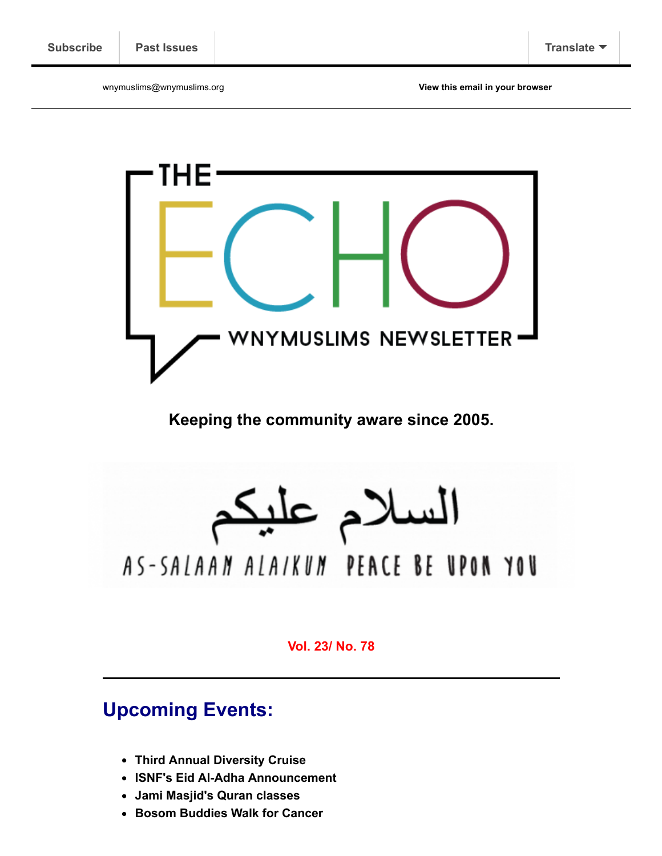wnymuslims@wnymuslims.org **[View this email in your browser](https://us13.campaign-archive.com/?e=[UNIQID]&u=19ed6f05ad8527220a10faa63&id=a20c496713)**



**Keeping the community aware since 2005.**

السلام عليا

# AS-SALAAN ALAIKUN PEACE BE UPON YOU

**Vol. 23/ No. 78**

# **Upcoming Events:**

- **[Third Annual Diversity Cruise](http://wnymuslims.org/?p=11724)**
- **[ISNF's Eid Al-Adha Announcement](http://wnymuslims.org/?p=12036)**
- **[Jami Masjid's Quran classes](http://wnymuslims.org/?p=11967)**
- **[Bosom Buddies Walk for Cancer](http://wnymuslims.org/?p=12034)**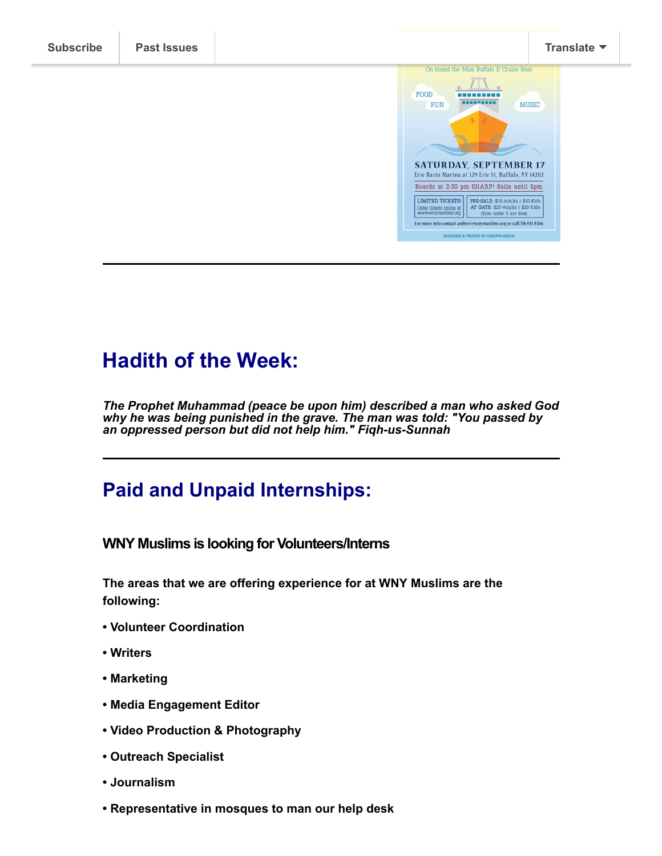

For more info contact ambers@wnymuslims.org or call 716.923.4386 DESIGNED & PRINTED BY SUNSPIN MEDIA

## **Hadith of the Week:**

*The Prophet Muhammad (peace be upon him) described a man who asked God why he was being punished in the grave. The man was told: "You passed by an oppressed person but did not help him." Fiqh-us-Sunnah*

## **Paid and Unpaid Internships:**

**WNY Muslims is looking for Volunteers/Interns**

**The areas that we are offering experience for at WNY Muslims are the following:** 

- **• Volunteer Coordination**
- **Writers**
- **• Marketing**
- **• Media Engagement Editor**
- **• Video Production & Photography**
- **Outreach Specialist**
- **• Journalism**
- **Representative in mosques to man our help desk**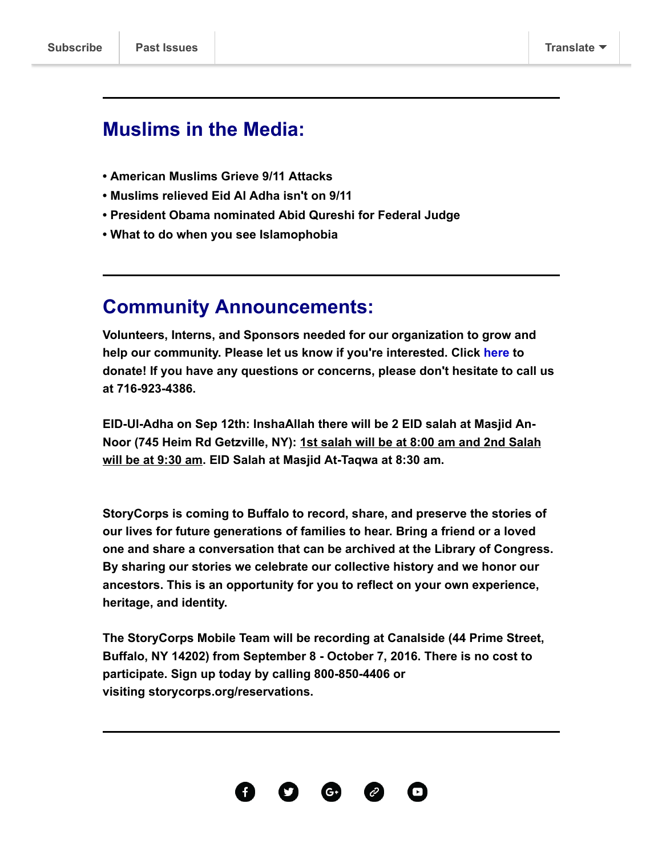### **Muslims in the Media:**

- **[•](http://www.christiantimes.com/article/top-muslim-leader-commends-pope-francis-for-refusing-to-identify-islam-with-violence/61343.htm) [American Muslims Grieve 9/11 Attacks](http://www.wbur.org/hereandnow/2016/09/05/muslim-americans-new-york)**
- **[•](http://www.christiantimes.com/article/top-muslim-leader-commends-pope-francis-for-refusing-to-identify-islam-with-violence/61343.htm) [Muslims relieved Eid Al Adha isn't on 9/11](http://www.moroccoworldnews.com/2016/09/195950/muslims-in-the-us-relieved-eid-al-adha-wont-fall-on-september-11/)**
- **[•](http://www.christiantimes.com/article/top-muslim-leader-commends-pope-francis-for-refusing-to-identify-islam-with-violence/61343.htm) [President Obama nominated Abid Qureshi for Federal Judge](http://www.huffingtonpost.com/entry/obama-muslim-federal-judge_us_57cf2cfbe4b03d2d45970d3a)**
- **[•](https://www.buzzfeed.com/ryanhatesthis/someone-made-a-guide-for-what-to-do-when-you-see-islamophobi?utm_term=.jpNGojEV9#.sq9wlxp4G) [What to do when you see Islamophobia](https://www.buzzfeed.com/ryanhatesthis/someone-made-a-guide-for-what-to-do-when-you-see-islamophobi?utm_term=.jpNGojEV9#.sq9wlxp4G)**

### **Community Announcements:**

**Volunteers, Interns, and Sponsors needed for our organization to grow and help our community. Please let us know if you're interested. Click [here](https://app.mobilecause.com/form/NaKD5w) to donate! If you have any questions or concerns, please don't hesitate to call us at 716-923-4386.**

**EID-Ul-Adha on Sep 12th: InshaAllah there will be 2 EID salah at Masjid An-Noor (745 Heim Rd Getzville, NY): 1st salah will be at 8:00 am and 2nd Salah will be at 9:30 am. EID Salah at Masjid At-Taqwa at 8:30 am.**

**StoryCorps is coming to Buffalo to record, share, and preserve the stories of our lives for future generations of families to hear. Bring a friend or a loved one and share a conversation that can be archived at the Library of Congress. By sharing our stories we celebrate our collective history and we honor our ancestors. This is an opportunity for you to reflect on your own experience, heritage, and identity.**

**The StoryCorps Mobile Team will be recording at Canalside (44 Prime Street, Buffalo, NY 14202) from September 8 - October 7, 2016. There is no cost to participate. Sign up today by calling [800-850-4406](tel:800-850-4406) or visiting [storycorps.org/reservations.](http://storycorps.org/reservations)**